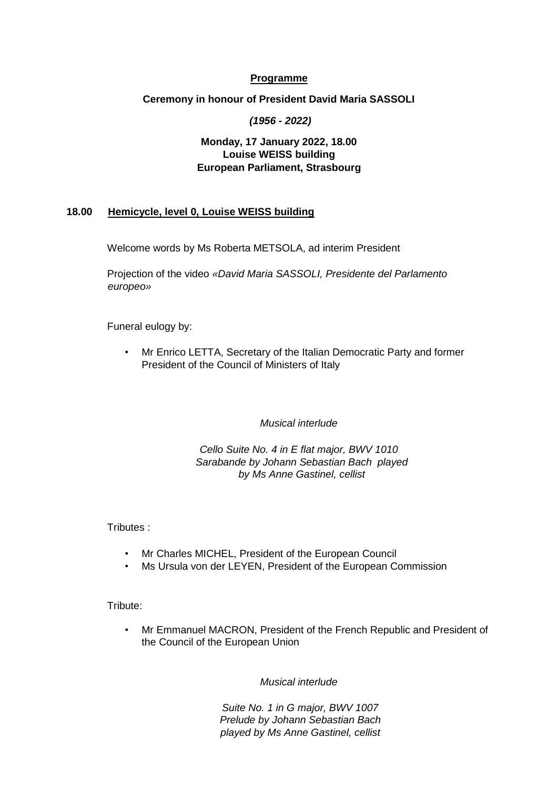### **Programme**

#### **Ceremony in honour of President David Maria SASSOLI**

*(1956 - 2022)*

# **Monday, 17 January 2022, 18.00 Louise WEISS building European Parliament, Strasbourg**

# **18.00 Hemicycle, level 0, Louise WEISS building**

Welcome words by Ms Roberta METSOLA, ad interim President

Projection of the video *«David Maria SASSOLI, Presidente del Parlamento europeo»*

Funeral eulogy by:

• Mr Enrico LETTA, Secretary of the Italian Democratic Party and former President of the Council of Ministers of Italy

*Musical interlude* 

*Cello Suite No. 4 in E flat major, BWV 1010 Sarabande by Johann Sebastian Bach played by Ms Anne Gastinel, cellist* 

Tributes :

- Mr Charles MICHEL, President of the European Council
- Ms Ursula von der LEYEN, President of the European Commission

Tribute:

• Mr Emmanuel MACRON, President of the French Republic and President of the Council of the European Union

*Musical interlude* 

*Suite No. 1 in G major, BWV 1007 Prelude by Johann Sebastian Bach played by Ms Anne Gastinel, cellist*